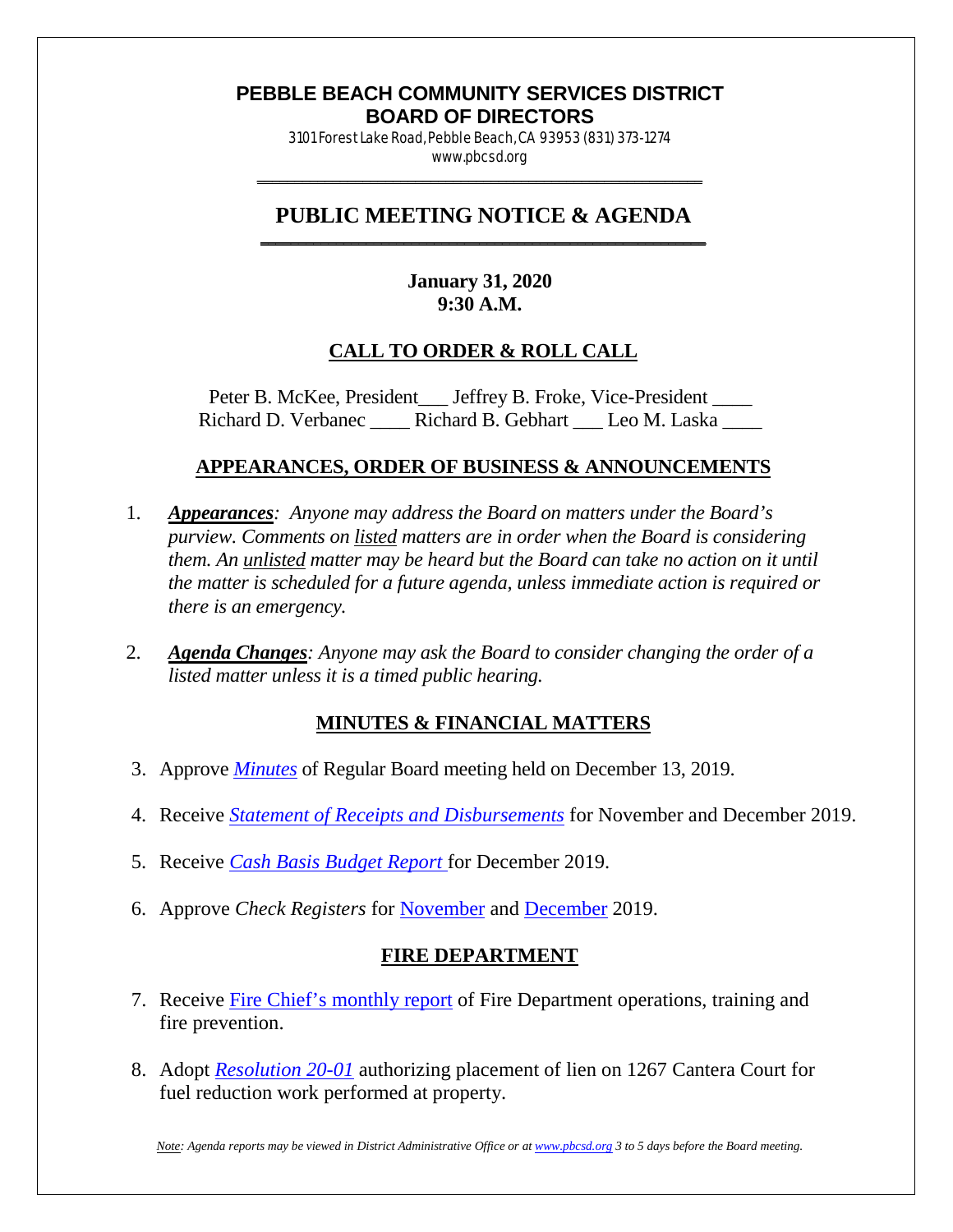#### **PEBBLE BEACH COMMUNITY SERVICES DISTRICT BOARD OF DIRECTORS**

3101 Forest Lake Road, Pebble Beach, CA 93953 (831) 373-1274 www.pbcsd.org \_\_\_\_\_\_\_\_\_\_\_\_\_\_\_\_\_\_\_\_\_\_\_\_\_\_\_\_\_\_\_\_\_\_\_\_\_\_\_\_\_\_\_\_\_\_\_\_\_\_\_\_\_\_\_\_\_\_\_

#### **PUBLIC MEETING NOTICE & AGENDA \_\_\_\_\_\_\_\_\_\_\_\_\_\_\_\_\_\_\_\_\_\_\_\_\_\_\_\_\_\_\_\_\_\_\_\_\_\_\_\_\_\_\_\_\_\_\_\_\_\_\_\_\_\_\_\_\_\_\_**

## **January 31, 2020 9:30 A.M.**

## **CALL TO ORDER & ROLL CALL**

Peter B. McKee, President \_\_\_ Jeffrey B. Froke, Vice-President \_\_\_\_ Richard D. Verbanec \_\_\_\_ Richard B. Gebhart \_\_\_ Leo M. Laska

### **APPEARANCES, ORDER OF BUSINESS & ANNOUNCEMENTS**

- 1. *Appearances: Anyone may address the Board on matters under the Board's purview. Comments on listed matters are in order when the Board is considering them. An unlisted matter may be heard but the Board can take no action on it until the matter is scheduled for a future agenda, unless immediate action is required or there is an emergency.*
- 2. *Agenda Changes: Anyone may ask the Board to consider changing the order of a listed matter unless it is a timed public hearing.*

### **MINUTES & FINANCIAL MATTERS**

- 3. Approve *[Minutes](http://pbcsd.org/wp-content/uploads/pbcsd/meetings/board/2020/2020-01-31/03-19-1207-PBCSD-draft-minutes.pdf)* of Regular Board meeting held on December 13, 2019.
- 4. Receive *[Statement of Receipts and Disbursements](http://pbcsd.org/wp-content/uploads/pbcsd/meetings/board/2020/2020-01-31/04-Statement-of-Receipts-and-Disbursements-Nov-Dec-2019.pdf)* for November and December 2019.
- 5. Receive *[Cash Basis Budget Report](http://pbcsd.org/wp-content/uploads/pbcsd/meetings/board/2020/2020-01-31/05-Cash-Basis-Budget-Report-for-December-2019.pdf)* for December 2019.
- 6. Approve *Check Registers* for [November](http://pbcsd.org/wp-content/uploads/pbcsd/meetings/board/2020/2020-01-31/06a-Check-Register-for-Nov-2019.pdf) and [December](http://pbcsd.org/wp-content/uploads/pbcsd/meetings/board/2020/2020-01-31/06b-Check-Register-for-Dec-2019.pdf) 2019.

### **FIRE DEPARTMENT**

- 7. Receive [Fire Chief's monthly report](http://pbcsd.org/wp-content/uploads/pbcsd/meetings/board/2020/2020-01-31/07-Fire-Department-Operations-Report.pdf) of Fire Department operations, training and fire prevention.
- 8. Adopt *[Resolution 20-01](http://pbcsd.org/wp-content/uploads/pbcsd/meetings/board/2020/2020-01-31/08-Res-20-01-Authorizing-Placement-of-lien-on-1267-Cantera-Court.pdf)* authorizing placement of lien on 1267 Cantera Court for fuel reduction work performed at property.

*Note: Agenda reports may be viewed in District Administrative Office or a[t www.pbcsd.org](http://www.pbcsd.org/) 3 to 5 days before the Board meeting.*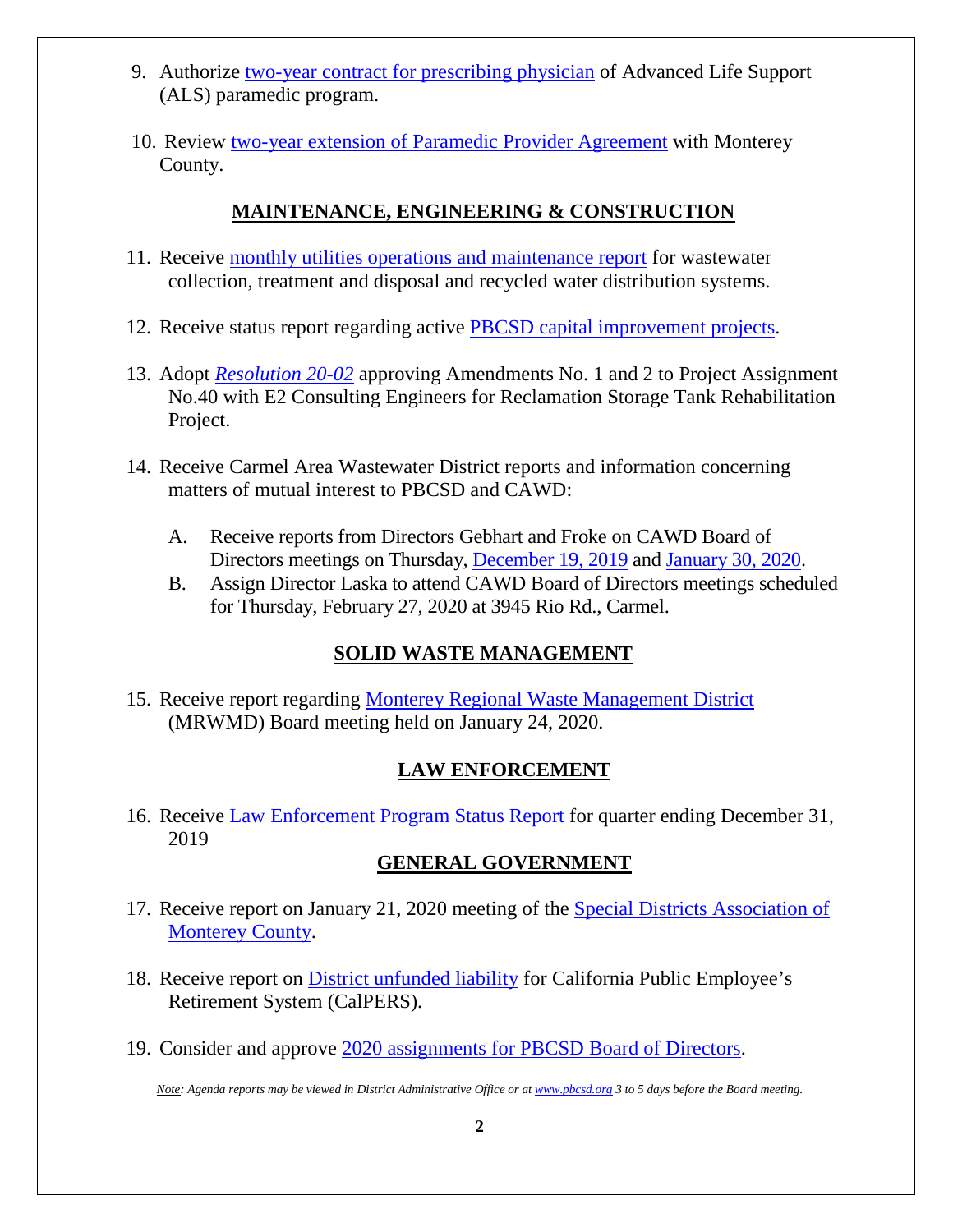- 9. Authorize [two-year contract for prescribing physician](http://pbcsd.org/wp-content/uploads/pbcsd/meetings/board/2020/2020-01-31/09-Authorize-Two-year-Contract-for-presscribing-physician-ALS-Paramedic-Program.pdf) of Advanced Life Support (ALS) paramedic program.
- 10. Review [two-year extension of Paramedic Provider Agreement](http://pbcsd.org/wp-content/uploads/pbcsd/meetings/board/2020/2020-01-31/10-Two-year-Extension-of-Paramedic-Provider-Agreement-with-Monterey-County.pdf) with Monterey County.

# **MAINTENANCE, ENGINEERING & CONSTRUCTION**

- 11. Receive [monthly utilities operations and maintenance report](http://pbcsd.org/wp-content/uploads/pbcsd/meetings/board/2020/2020-01-31/11-Operations-Maintenance-Report.pdf) for wastewater collection, treatment and disposal and recycled water distribution systems.
- 12. Receive status report regarding active [PBCSD capital improvement projects.](http://pbcsd.org/wp-content/uploads/pbcsd/meetings/board/2020/2020-01-31/12-Status-Of-Capital-Improvement-Projects.pdf)
- 13. Adopt *[Resolution 20-02](http://pbcsd.org/wp-content/uploads/pbcsd/meetings/board/2020/2020-01-31/13-Resolution-20-02-Reclamation-Storage-Tank-Rehabilitation-Project.pdf)* approving Amendments No. 1 and 2 to Project Assignment No.40 with E2 Consulting Engineers for Reclamation Storage Tank Rehabilitation Project.
- 14. Receive Carmel Area Wastewater District reports and information concerning matters of mutual interest to PBCSD and CAWD:
	- A. Receive reports from Directors Gebhart and Froke on CAWD Board of Directors meetings on Thursday, [December 19, 2019](http://pbcsd.org/wp-content/uploads/pbcsd/meetings/board/2020/2020-01-31/14a-CAWD-Regular-Board-Meeting-Agenda-Reports-for-December-2019.pdf) and [January 30,](http://pbcsd.org/wp-content/uploads/pbcsd/meetings/board/2020/2020-01-31/14b-CAWD-Regular-Board-Meeting-Agenda-Reports-for-January-2020.pdf) 2020.
	- B. Assign Director Laska to attend CAWD Board of Directors meetings scheduled for Thursday, February 27, 2020 at 3945 Rio Rd., Carmel.

# **SOLID WASTE MANAGEMENT**

15. Receive report regarding [Monterey Regional Waste Management District](http://pbcsd.org/wp-content/uploads/pbcsd/meetings/board/2020/2020-01-31/15-MRWMD-Board-Meeting-Agenda-and-GM-Report.pdf) (MRWMD) Board meeting held on January 24, 2020.

### **LAW ENFORCEMENT**

16. Receive [Law Enforcement Program Status Report](http://pbcsd.org/wp-content/uploads/pbcsd/meetings/board/2020/2020-01-31/16-Law-Enforcement-Program-Status-Report-for-Quarter-Ending-December-31-2019.pdf) for quarter ending December 31, 2019

# **GENERAL GOVERNMENT**

- 17. Receive report on January 21, 2020 meeting of the [Special Districts Association of](http://pbcsd.org/wp-content/uploads/pbcsd/meetings/board/2020/2020-01-31/17-Special-Districts-Association-Monterey-County-Meeting.pdf) [Monterey County.](http://pbcsd.org/wp-content/uploads/pbcsd/meetings/board/2020/2020-01-31/17-Special-Districts-Association-Monterey-County-Meeting.pdf)
- 18. Receive report on District [unfunded liability](http://pbcsd.org/wp-content/uploads/pbcsd/meetings/board/2020/2020-01-31/18-Calpers-Unfunded-Liability.pdf) for California Public Employee's Retirement System (CalPERS).
- 19. Consider and approve [2020 assignments for PBCSD Board of Directors.](http://pbcsd.org/wp-content/uploads/pbcsd/meetings/board/2020/2020-01-31/19-2020-Assignments-For-PBCSD-Directors.pdf)

*Note: Agenda reports may be viewed in District Administrative Office or a[t www.pbcsd.org](http://www.pbcsd.org/) 3 to 5 days before the Board meeting.*